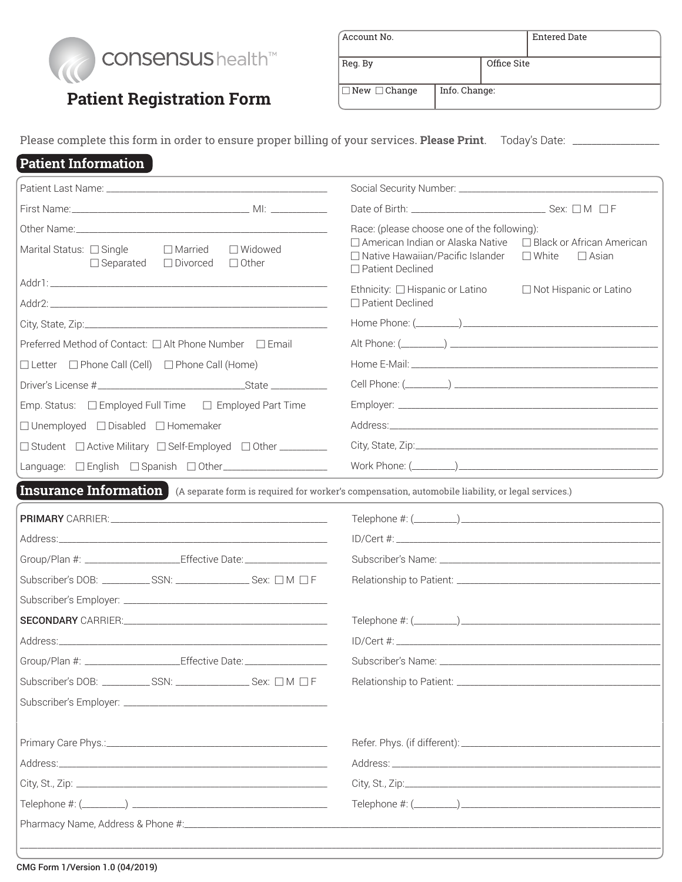

## **Patient Registration Form**

| Account No.              |               |             | <b>Entered Date</b> |  |
|--------------------------|---------------|-------------|---------------------|--|
| Reg. By                  |               | Office Site |                     |  |
| $\Box$ New $\Box$ Change | Info. Change: |             |                     |  |

Please complete this form in order to ensure proper billing of your services. **Please Print**. Today's Date: \_\_\_\_\_\_\_\_\_\_\_\_\_\_\_\_\_\_

## **Patient Information**

| $\Box$ Married<br>$\Box$ Widowed<br>Marital Status: □ Single<br>$\Box$ Other<br>$\Box$ Separated<br>$\Box$ Divorced            | Race: (please choose one of the following):<br>□ American Indian or Alaska Native<br>$\Box$ Black or African American<br>□ Native Hawaiian/Pacific Islander<br>$\square$ White<br>$\Box$ Asian<br>□ Patient Declined |  |  |
|--------------------------------------------------------------------------------------------------------------------------------|----------------------------------------------------------------------------------------------------------------------------------------------------------------------------------------------------------------------|--|--|
|                                                                                                                                | □ Not Hispanic or Latino<br>Ethnicity: $\Box$ Hispanic or Latino                                                                                                                                                     |  |  |
|                                                                                                                                | $\Box$ Patient Declined                                                                                                                                                                                              |  |  |
|                                                                                                                                |                                                                                                                                                                                                                      |  |  |
| Preferred Method of Contact: □ Alt Phone Number □ Email                                                                        |                                                                                                                                                                                                                      |  |  |
| $\Box$ Letter $\Box$ Phone Call (Cell) $\Box$ Phone Call (Home)                                                                |                                                                                                                                                                                                                      |  |  |
|                                                                                                                                |                                                                                                                                                                                                                      |  |  |
| Emp. Status: □ Employed Full Time □ Employed Part Time                                                                         |                                                                                                                                                                                                                      |  |  |
| $\Box$ Unemployed $\Box$ Disabled $\Box$ Homemaker                                                                             |                                                                                                                                                                                                                      |  |  |
| □ Student □ Active Military □ Self-Employed □ Other ________                                                                   |                                                                                                                                                                                                                      |  |  |
| Language: □ English □ Spanish □ Other_____________________                                                                     |                                                                                                                                                                                                                      |  |  |
| <b>Insurance Information</b> (A separate form is required for worker's compensation, automobile liability, or legal services.) |                                                                                                                                                                                                                      |  |  |
|                                                                                                                                |                                                                                                                                                                                                                      |  |  |
|                                                                                                                                |                                                                                                                                                                                                                      |  |  |
| Group/Plan #: ______________________Effective Date: ____________________________                                               |                                                                                                                                                                                                                      |  |  |
| Subscriber's DOB: ___________SSN: ____________________Sex: □M □F                                                               |                                                                                                                                                                                                                      |  |  |
|                                                                                                                                |                                                                                                                                                                                                                      |  |  |
|                                                                                                                                |                                                                                                                                                                                                                      |  |  |
|                                                                                                                                |                                                                                                                                                                                                                      |  |  |
| Group/Plan #: ______________________Effective Date: ____________________________                                               |                                                                                                                                                                                                                      |  |  |
| Subscriber's DOB: ___________SSN: ____________________Sex: □ M □ F                                                             |                                                                                                                                                                                                                      |  |  |
|                                                                                                                                |                                                                                                                                                                                                                      |  |  |
|                                                                                                                                |                                                                                                                                                                                                                      |  |  |
|                                                                                                                                |                                                                                                                                                                                                                      |  |  |
|                                                                                                                                |                                                                                                                                                                                                                      |  |  |
|                                                                                                                                |                                                                                                                                                                                                                      |  |  |
|                                                                                                                                |                                                                                                                                                                                                                      |  |  |
|                                                                                                                                |                                                                                                                                                                                                                      |  |  |
|                                                                                                                                |                                                                                                                                                                                                                      |  |  |